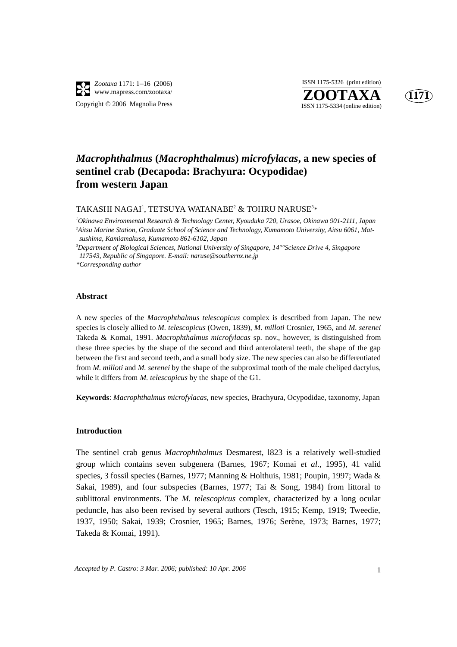

**ZOOTAXA**<br>ISSN 1175-5334 (online edition) ISSN 1175-5326 (print edition)



### *Macrophthalmus* **(***Macrophthalmus***)** *microfylacas***, a new species of sentinel crab (Decapoda: Brachyura: Ocypodidae) from western Japan**

#### TAKASHI NAGAI<sup>1</sup>, TETSUYA WATANABE<sup>2</sup> & TOHRU NARUSE<sup>3</sup>\*

*1 Okinawa Environmental Research & Technology Center, Kyouduka 720, Urasoe, Okinawa 901-2111, Japan 2 Aitsu Marine Station, Graduate School of Science and Technology, Kumamoto University, Aitsu 6061, Matsushima, Kamiamakusa, Kumamoto 861-6102, Japan*

*3 Department of Biological Sciences, National University of Singapore, 14°°Science Drive 4, Singapore 117543, Republic of Singapore. E-mail: naruse@southernx.ne.jp* 

*\*Corresponding author* 

#### **Abstract**

A new species of the *Macrophthalmus telescopicus* complex is described from Japan. The new species is closely allied to *M. telescopicus* (Owen, 1839), *M. milloti* Crosnier, 1965, and *M. serenei* Takeda & Komai, 1991. *Macrophthalmus microfylacas* sp. nov., however, is distinguished from these three species by the shape of the second and third anterolateral teeth, the shape of the gap between the first and second teeth, and a small body size. The new species can also be differentiated from *M. milloti* and *M. serenei* by the shape of the subproximal tooth of the male cheliped dactylus, while it differs from *M. telescopicus* by the shape of the G1.

**Keywords**: *Macrophthalmus microfylacas*, new species, Brachyura, Ocypodidae, taxonomy, Japan

#### **Introduction**

The sentinel crab genus *Macrophthalmus* Desmarest, l823 is a relatively well-studied group which contains seven subgenera (Barnes, 1967; Komai *et al*., 1995), 41 valid species, 3 fossil species (Barnes, 1977; Manning & Holthuis, 1981; Poupin, 1997; Wada & Sakai, 1989), and four subspecies (Barnes, 1977; Tai & Song, 1984) from littoral to sublittoral environments. The *M. telescopicus* complex, characterized by a long ocular peduncle, has also been revised by several authors (Tesch, 1915; Kemp, 1919; Tweedie, 1937, 1950; Sakai, 1939; Crosnier, 1965; Barnes, 1976; Serène, 1973; Barnes, 1977; Takeda & Komai, 1991).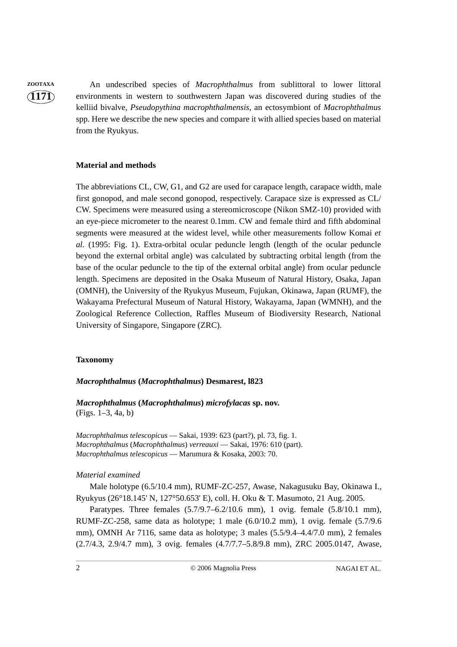**ZOOTAXA** An undescribed species of *Macrophthalmus* from sublittoral to lower littoral environments in western to southwestern Japan was discovered during studies of the kelliid bivalve, *Pseudopythina macrophthalmensis*, an ectosymbiont of *Macrophthalmus* spp*.* Here we describe the new species and compare it with allied species based on material from the Ryukyus.

#### **Material and methods**

The abbreviations CL, CW, G1, and G2 are used for carapace length, carapace width, male first gonopod, and male second gonopod, respectively. Carapace size is expressed as CL/ CW. Specimens were measured using a stereomicroscope (Nikon SMZ-10) provided with an eye-piece micrometer to the nearest 0.1mm. CW and female third and fifth abdominal segments were measured at the widest level, while other measurements follow Komai *et al.* (1995: Fig. 1). Extra-orbital ocular peduncle length (length of the ocular peduncle beyond the external orbital angle) was calculated by subtracting orbital length (from the base of the ocular peduncle to the tip of the external orbital angle) from ocular peduncle length. Specimens are deposited in the Osaka Museum of Natural History, Osaka, Japan (OMNH), the University of the Ryukyus Museum, Fujukan, Okinawa, Japan (RUMF), the Wakayama Prefectural Museum of Natural History, Wakayama, Japan (WMNH), and the Zoological Reference Collection, Raffles Museum of Biodiversity Research, National University of Singapore, Singapore (ZRC).

### **Taxonomy**

#### *Macrophthalmus* **(***Macrophthalmus***) Desmarest, l823**

*Macrophthalmus* **(***Macrophthalmus***)** *microfylacas* **sp. nov.** (Figs. 1–3, 4a, b)

*Macrophthalmus telescopicus* — Sakai, 1939: 623 (part?), pl. 73, fig. 1. *Macrophthalmus* (*Macrophthalmus*) *verreauxi* — Sakai, 1976: 610 (part). *Macrophthalmus telescopicus* — Marumura & Kosaka, 2003: 70.

#### *Material examined*

Male holotype (6.5/10.4 mm), RUMF-ZC-257, Awase, Nakagusuku Bay, Okinawa I., Ryukyus (26°18.145' N, 127°50.653' E), coll. H. Oku & T. Masumoto, 21 Aug. 2005.

Paratypes. Three females (5.7/9.7–6.2/10.6 mm), 1 ovig. female (5.8/10.1 mm), RUMF-ZC-258, same data as holotype; 1 male (6.0/10.2 mm), 1 ovig. female (5.7/9.6 mm), OMNH Ar 7116, same data as holotype; 3 males (5.5/9.4–4.4/7.0 mm), 2 females (2.7/4.3, 2.9/4.7 mm), 3 ovig. females (4.7/7.7–5.8/9.8 mm), ZRC 2005.0147, Awase,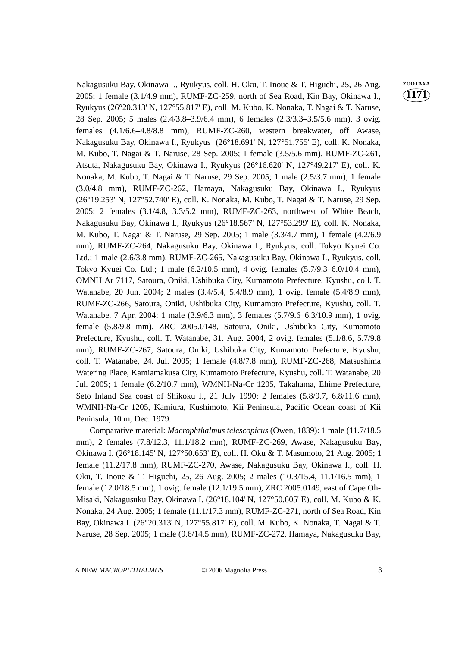Nakagusuku Bay, Okinawa I., Ryukyus, coll. H. Oku, T. Inoue & T. Higuchi, 25, 26 Aug. **ZOOTAXA** 2005; 1 female (3.1/4.9 mm), RUMF-ZC-259, north of Sea Road, Kin Bay, Okinawa I., Ryukyus (26°20.313' N, 127°55.817' E), coll. M. Kubo, K. Nonaka, T. Nagai & T. Naruse, 28 Sep. 2005; 5 males (2.4/3.8–3.9/6.4 mm), 6 females (2.3/3.3–3.5/5.6 mm), 3 ovig. females (4.1/6.6–4.8/8.8 mm), RUMF-ZC-260, western breakwater, off Awase, Nakagusuku Bay, Okinawa I., Ryukyus (26°18.691' N, 127°51.755' E), coll. K. Nonaka, M. Kubo, T. Nagai & T. Naruse, 28 Sep. 2005; 1 female (3.5/5.6 mm), RUMF-ZC-261, Atsuta, Nakagusuku Bay, Okinawa I., Ryukyus (26°16.620' N, 127°49.217' E), coll. K. Nonaka, M. Kubo, T. Nagai & T. Naruse, 29 Sep. 2005; 1 male (2.5/3.7 mm), 1 female (3.0/4.8 mm), RUMF-ZC-262, Hamaya, Nakagusuku Bay, Okinawa I., Ryukyus (26°19.253' N, 127°52.740' E), coll. K. Nonaka, M. Kubo, T. Nagai & T. Naruse, 29 Sep. 2005; 2 females (3.1/4.8, 3.3/5.2 mm), RUMF-ZC-263, northwest of White Beach, Nakagusuku Bay, Okinawa I., Ryukyus (26°18.567' N, 127°53.299' E), coll. K. Nonaka, M. Kubo, T. Nagai & T. Naruse, 29 Sep. 2005; 1 male (3.3/4.7 mm), 1 female (4.2/6.9 mm), RUMF-ZC-264, Nakagusuku Bay, Okinawa I., Ryukyus, coll. Tokyo Kyuei Co. Ltd.; 1 male (2.6/3.8 mm), RUMF-ZC-265, Nakagusuku Bay, Okinawa I., Ryukyus, coll. Tokyo Kyuei Co. Ltd.; 1 male (6.2/10.5 mm), 4 ovig. females (5.7/9.3–6.0/10.4 mm), OMNH Ar 7117, Satoura, Oniki, Ushibuka City, Kumamoto Prefecture, Kyushu, coll. T. Watanabe, 20 Jun. 2004; 2 males (3.4/5.4, 5.4/8.9 mm), 1 ovig. female (5.4/8.9 mm), RUMF-ZC-266, Satoura, Oniki, Ushibuka City, Kumamoto Prefecture, Kyushu, coll. T. Watanabe, 7 Apr. 2004; 1 male (3.9/6.3 mm), 3 females (5.7/9.6–6.3/10.9 mm), 1 ovig. female (5.8/9.8 mm), ZRC 2005.0148, Satoura, Oniki, Ushibuka City, Kumamoto Prefecture, Kyushu, coll. T. Watanabe, 31. Aug. 2004, 2 ovig. females (5.1/8.6, 5.7/9.8 mm), RUMF-ZC-267, Satoura, Oniki, Ushibuka City, Kumamoto Prefecture, Kyushu, coll. T. Watanabe, 24. Jul. 2005; 1 female (4.8/7.8 mm), RUMF-ZC-268, Matsushima Watering Place, Kamiamakusa City, Kumamoto Prefecture, Kyushu, coll. T. Watanabe, 20 Jul. 2005; 1 female (6.2/10.7 mm), WMNH-Na-Cr 1205, Takahama, Ehime Prefecture, Seto Inland Sea coast of Shikoku I., 21 July 1990; 2 females (5.8/9.7, 6.8/11.6 mm), WMNH-Na-Cr 1205, Kamiura, Kushimoto, Kii Peninsula, Pacific Ocean coast of Kii Peninsula, 10 m, Dec. 1979.

Comparative material: *Macrophthalmus telescopicus* (Owen, 1839): 1 male (11.7/18.5 mm), 2 females (7.8/12.3, 11.1/18.2 mm), RUMF-ZC-269, Awase, Nakagusuku Bay, Okinawa I. (26°18.145' N, 127°50.653' E), coll. H. Oku & T. Masumoto, 21 Aug. 2005; 1 female (11.2/17.8 mm), RUMF-ZC-270, Awase, Nakagusuku Bay, Okinawa I., coll. H. Oku, T. Inoue & T. Higuchi, 25, 26 Aug. 2005; 2 males (10.3/15.4, 11.1/16.5 mm), 1 female (12.0/18.5 mm), 1 ovig. female (12.1/19.5 mm), ZRC 2005.0149, east of Cape Oh-Misaki, Nakagusuku Bay, Okinawa I. (26°18.104' N, 127°50.605' E), coll. M. Kubo & K. Nonaka, 24 Aug. 2005; 1 female (11.1/17.3 mm), RUMF-ZC-271, north of Sea Road, Kin Bay, Okinawa I. (26°20.313' N, 127°55.817' E), coll. M. Kubo, K. Nonaka, T. Nagai & T. Naruse, 28 Sep. 2005; 1 male (9.6/14.5 mm), RUMF-ZC-272, Hamaya, Nakagusuku Bay,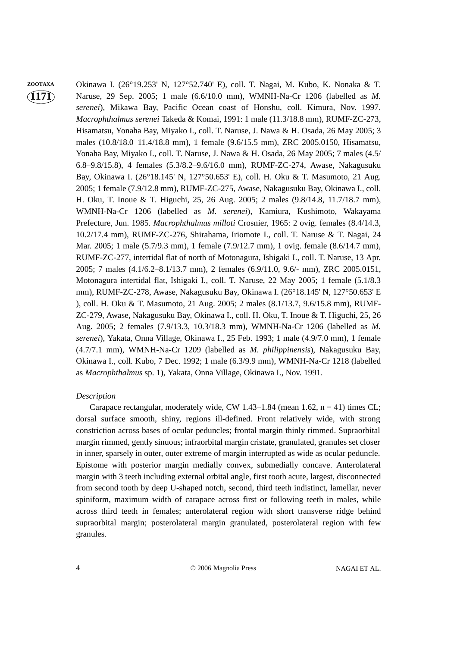### **1171 ZOOTAXA** Okinawa I. (26°19.253' N, 127°52.740' E), coll. T. Nagai, M. Kubo, K. Nonaka & T. Naruse, 29 Sep. 2005; 1 male (6.6/10.0 mm), WMNH-Na-Cr 1206 (labelled as *M. serenei*), Mikawa Bay, Pacific Ocean coast of Honshu, coll. Kimura, Nov. 1997. *Macrophthalmus serenei* Takeda & Komai, 1991: 1 male (11.3/18.8 mm), RUMF-ZC-273, Hisamatsu, Yonaha Bay, Miyako I., coll. T. Naruse, J. Nawa & H. Osada, 26 May 2005; 3 males (10.8/18.0–11.4/18.8 mm), 1 female (9.6/15.5 mm), ZRC 2005.0150, Hisamatsu, Yonaha Bay, Miyako I., coll. T. Naruse, J. Nawa & H. Osada, 26 May 2005; 7 males (4.5/ 6.8–9.8/15.8), 4 females (5.3/8.2–9.6/16.0 mm), RUMF-ZC-274, Awase, Nakagusuku Bay, Okinawa I. (26°18.145' N, 127°50.653' E), coll. H. Oku & T. Masumoto, 21 Aug. 2005; 1 female (7.9/12.8 mm), RUMF-ZC-275, Awase, Nakagusuku Bay, Okinawa I., coll. H. Oku, T. Inoue & T. Higuchi, 25, 26 Aug. 2005; 2 males (9.8/14.8, 11.7/18.7 mm), WMNH-Na-Cr 1206 (labelled as *M. serenei*), Kamiura, Kushimoto, Wakayama Prefecture, Jun. 1985. *Macrophthalmus milloti* Crosnier, 1965: 2 ovig. females (8.4/14.3, 10.2/17.4 mm), RUMF-ZC-276, Shirahama, Iriomote I., coll. T. Naruse & T. Nagai, 24 Mar. 2005; 1 male (5.7/9.3 mm), 1 female (7.9/12.7 mm), 1 ovig. female (8.6/14.7 mm), RUMF-ZC-277, intertidal flat of north of Motonagura, Ishigaki I., coll. T. Naruse, 13 Apr. 2005; 7 males (4.1/6.2–8.1/13.7 mm), 2 females (6.9/11.0, 9.6/- mm), ZRC 2005.0151, Motonagura intertidal flat, Ishigaki I., coll. T. Naruse, 22 May 2005; 1 female (5.1/8.3 mm), RUMF-ZC-278, Awase, Nakagusuku Bay, Okinawa I. (26°18.145' N, 127°50.653' E ), coll. H. Oku & T. Masumoto, 21 Aug. 2005; 2 males (8.1/13.7, 9.6/15.8 mm), RUMF-ZC-279, Awase, Nakagusuku Bay, Okinawa I., coll. H. Oku, T. Inoue & T. Higuchi, 25, 26 Aug. 2005; 2 females (7.9/13.3, 10.3/18.3 mm), WMNH-Na-Cr 1206 (labelled as *M. serenei*), Yakata, Onna Village, Okinawa I., 25 Feb. 1993; 1 male (4.9/7.0 mm), 1 female (4.7/7.1 mm), WMNH-Na-Cr 1209 (labelled as *M. philippinensis*), Nakagusuku Bay, Okinawa I., coll. Kubo, 7 Dec. 1992; 1 male (6.3/9.9 mm), WMNH-Na-Cr 1218 (labelled as *Macrophthalmus* sp. 1), Yakata, Onna Village, Okinawa I., Nov. 1991.

#### *Description*

Carapace rectangular, moderately wide, CW 1.43–1.84 (mean 1.62,  $n = 41$ ) times CL; dorsal surface smooth, shiny, regions ill-defined. Front relatively wide, with strong constriction across bases of ocular peduncles; frontal margin thinly rimmed. Supraorbital margin rimmed, gently sinuous; infraorbital margin cristate, granulated, granules set closer in inner, sparsely in outer, outer extreme of margin interrupted as wide as ocular peduncle. Epistome with posterior margin medially convex, submedially concave. Anterolateral margin with 3 teeth including external orbital angle, first tooth acute, largest, disconnected from second tooth by deep U-shaped notch, second, third teeth indistinct, lamellar, never spiniform, maximum width of carapace across first or following teeth in males, while across third teeth in females; anterolateral region with short transverse ridge behind supraorbital margin; posterolateral margin granulated, posterolateral region with few granules.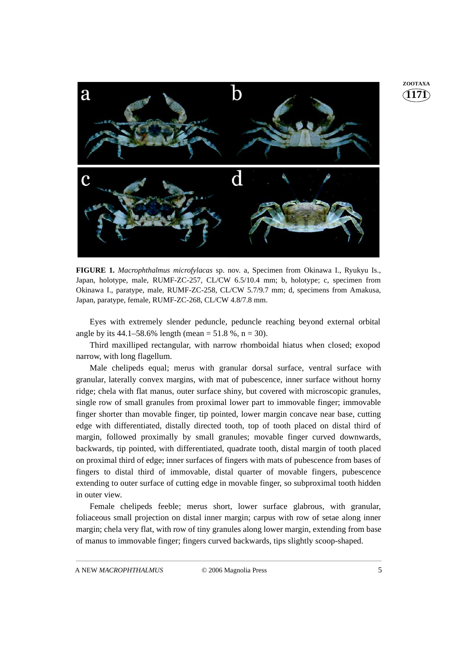

**FIGURE 1.** *Macrophthalmus microfylacas* sp. nov. a, Specimen from Okinawa I., Ryukyu Is., Japan, holotype, male, RUMF-ZC-257, CL/CW 6.5/10.4 mm; b, holotype; c, specimen from Okinawa I., paratype, male, RUMF-ZC-258, CL/CW 5.7/9.7 mm; d, specimens from Amakusa, Japan, paratype, female, RUMF-ZC-268, CL/CW 4.8/7.8 mm.

Eyes with extremely slender peduncle, peduncle reaching beyond external orbital angle by its  $44.1 - 58.6\%$  length (mean = 51.8 %, n = 30).

Third maxilliped rectangular, with narrow rhomboidal hiatus when closed; exopod narrow, with long flagellum.

Male chelipeds equal; merus with granular dorsal surface, ventral surface with granular, laterally convex margins, with mat of pubescence, inner surface without horny ridge; chela with flat manus, outer surface shiny, but covered with microscopic granules, single row of small granules from proximal lower part to immovable finger; immovable finger shorter than movable finger, tip pointed, lower margin concave near base, cutting edge with differentiated, distally directed tooth, top of tooth placed on distal third of margin, followed proximally by small granules; movable finger curved downwards, backwards, tip pointed, with differentiated, quadrate tooth, distal margin of tooth placed on proximal third of edge; inner surfaces of fingers with mats of pubescence from bases of fingers to distal third of immovable, distal quarter of movable fingers, pubescence extending to outer surface of cutting edge in movable finger, so subproximal tooth hidden in outer view.

Female chelipeds feeble; merus short, lower surface glabrous, with granular, foliaceous small projection on distal inner margin; carpus with row of setae along inner margin; chela very flat, with row of tiny granules along lower margin, extending from base of manus to immovable finger; fingers curved backwards, tips slightly scoop-shaped.

**1171 ZOOTAXA**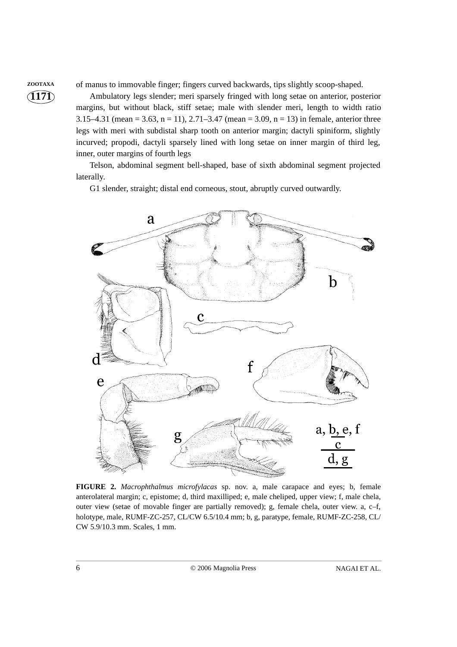**ZOOTAXA** of manus to immovable finger; fingers curved backwards, tips slightly scoop-shaped.

Ambulatory legs slender; meri sparsely fringed with long setae on anterior, posterior margins, but without black, stiff setae; male with slender meri, length to width ratio 3.15–4.31 (mean = 3.63, n = 11), 2.71–3.47 (mean = 3.09, n = 13) in female, anterior three legs with meri with subdistal sharp tooth on anterior margin; dactyli spiniform, slightly incurved; propodi, dactyli sparsely lined with long setae on inner margin of third leg, inner, outer margins of fourth legs

Telson, abdominal segment bell-shaped, base of sixth abdominal segment projected laterally.

G1 slender, straight; distal end corneous, stout, abruptly curved outwardly.



**FIGURE 2.** *Macrophthalmus microfylacas* sp. nov. a, male carapace and eyes; b, female anterolateral margin; c, epistome; d, third maxilliped; e, male cheliped, upper view; f, male chela, outer view (setae of movable finger are partially removed); g, female chela, outer view. a, c–f, holotype, male, RUMF-ZC-257, CL/CW 6.5/10.4 mm; b, g, paratype, female, RUMF-ZC-258, CL/ CW 5.9/10.3 mm. Scales, 1 mm.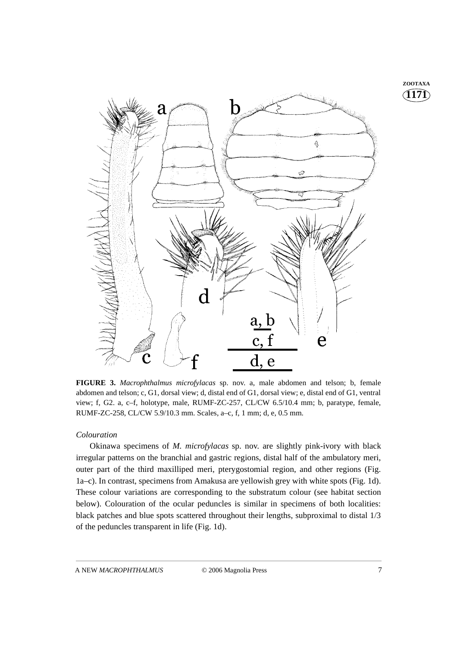**1171 ZOOTAXA**



**FIGURE 3.** *Macrophthalmus microfylacas* sp. nov. a, male abdomen and telson; b, female abdomen and telson; c, G1, dorsal view; d, distal end of G1, dorsal view; e, distal end of G1, ventral view; f, G2. a, c–f, holotype, male, RUMF-ZC-257, CL/CW 6.5/10.4 mm; b, paratype, female, RUMF-ZC-258, CL/CW 5.9/10.3 mm. Scales, a–c, f, 1 mm; d, e, 0.5 mm.

#### *Colouration*

Okinawa specimens of *M. microfylacas* sp. nov. are slightly pink-ivory with black irregular patterns on the branchial and gastric regions, distal half of the ambulatory meri, outer part of the third maxilliped meri, pterygostomial region, and other regions (Fig. 1a–c). In contrast, specimens from Amakusa are yellowish grey with white spots (Fig. 1d). These colour variations are corresponding to the substratum colour (see habitat section below). Colouration of the ocular peduncles is similar in specimens of both localities: black patches and blue spots scattered throughout their lengths, subproximal to distal 1/3 of the peduncles transparent in life (Fig. 1d).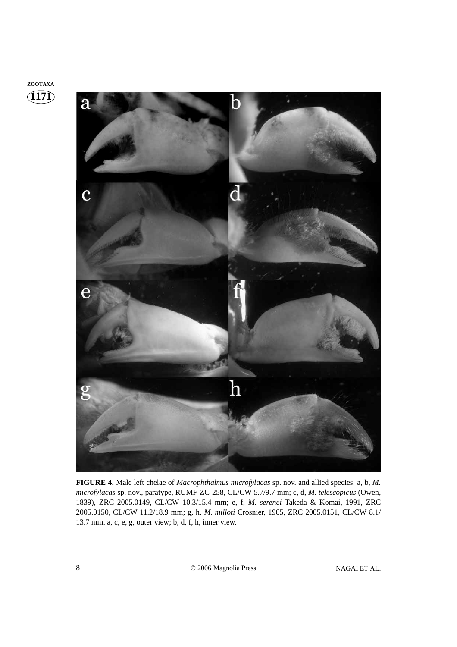### **1171 ZOOTAXA**



**FIGURE 4.** Male left chelae of *Macrophthalmus microfylacas* sp. nov. and allied species. a, b, *M. microfylacas* sp. nov., paratype, RUMF-ZC-258, CL/CW 5.7/9.7 mm; c, d, *M. telescopicus* (Owen, 1839), ZRC 2005.0149, CL/CW 10.3/15.4 mm; e, f, *M. serenei* Takeda & Komai, 1991, ZRC 2005.0150, CL/CW 11.2/18.9 mm; g, h, *M. milloti* Crosnier, 1965, ZRC 2005.0151, CL/CW 8.1/ 13.7 mm. a, c, e, g, outer view; b, d, f, h, inner view.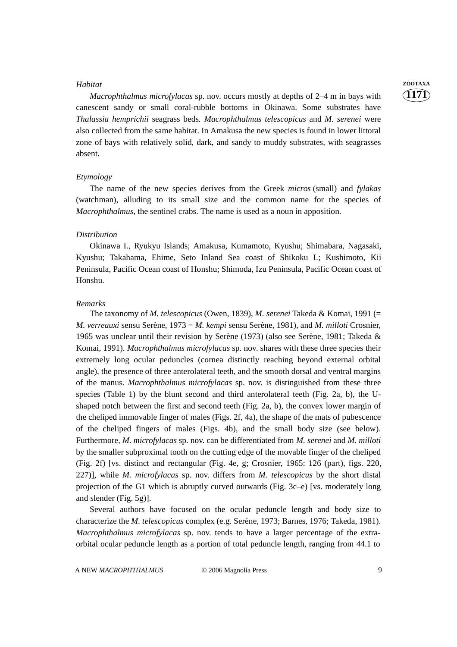*Macrophthalmus microfylacas* sp. nov. occurs mostly at depths of 2–4 m in bays with canescent sandy or small coral-rubble bottoms in Okinawa. Some substrates have *Thalassia hemprichii* seagrass beds*. Macrophthalmus telescopicus* and *M. serenei* were also collected from the same habitat. In Amakusa the new species is found in lower littoral zone of bays with relatively solid, dark, and sandy to muddy substrates, with seagrasses absent.

#### *Etymology*

The name of the new species derives from the Greek *micros* (small) and *fylakas* (watchman), alluding to its small size and the common name for the species of *Macrophthalmus*, the sentinel crabs. The name is used as a noun in apposition.

#### *Distribution*

Okinawa I., Ryukyu Islands; Amakusa, Kumamoto, Kyushu; Shimabara, Nagasaki, Kyushu; Takahama, Ehime, Seto Inland Sea coast of Shikoku I.; Kushimoto, Kii Peninsula, Pacific Ocean coast of Honshu; Shimoda, Izu Peninsula, Pacific Ocean coast of Honshu.

#### *Remarks*

The taxonomy of *M. telescopicus* (Owen, 1839), *M. serenei* Takeda & Komai, 1991 (= *M. verreauxi* sensu Serène, 1973 = *M. kempi* sensu Serène, 1981), and *M. milloti* Crosnier, 1965 was unclear until their revision by Serène (1973) (also see Serène, 1981; Takeda & Komai, 1991). *Macrophthalmus microfylacas* sp. nov. shares with these three species their extremely long ocular peduncles (cornea distinctly reaching beyond external orbital angle), the presence of three anterolateral teeth, and the smooth dorsal and ventral margins of the manus. *Macrophthalmus microfylacas* sp. nov. is distinguished from these three species (Table 1) by the blunt second and third anterolateral teeth (Fig. 2a, b), the Ushaped notch between the first and second teeth (Fig. 2a, b), the convex lower margin of the cheliped immovable finger of males (Figs. 2f, 4a), the shape of the mats of pubescence of the cheliped fingers of males (Figs. 4b), and the small body size (see below). Furthermore, *M. microfylacas* sp. nov. can be differentiated from *M. serenei* and *M. milloti* by the smaller subproximal tooth on the cutting edge of the movable finger of the cheliped (Fig. 2f) [vs. distinct and rectangular (Fig. 4e, g; Crosnier, 1965: 126 (part), figs. 220, 227)], while *M. microfylacas* sp. nov. differs from *M. telescopicus* by the short distal projection of the G1 which is abruptly curved outwards (Fig. 3c–e) [vs. moderately long and slender (Fig. 5g)].

Several authors have focused on the ocular peduncle length and body size to characterize the *M. telescopicus* complex (e.g. Serène, 1973; Barnes, 1976; Takeda, 1981). *Macrophthalmus microfylacas* sp. nov. tends to have a larger percentage of the extraorbital ocular peduncle length as a portion of total peduncle length, ranging from 44.1 to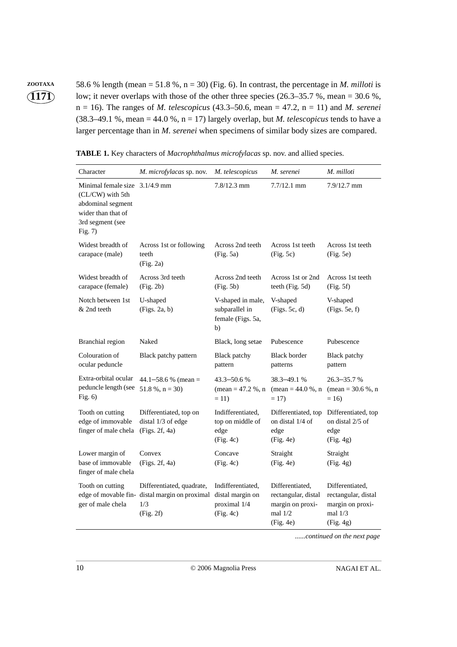**ZOOTAXA** 58.6 % length (mean = 51.8 %, n = 30) (Fig. 6). In contrast, the percentage in *M. milloti* is low; it never overlaps with those of the other three species  $(26.3-35.7 \%)$ , mean = 30.6 %, n = 16). The ranges of *M. telescopicus* (43.3–50.6, mean = 47.2, n = 11) and *M. serenei* (38.3–49.1 %, mean = 44.0 %,  $n = 17$ ) largely overlap, but *M. telescopicus* tends to have a larger percentage than in *M. serenei* when specimens of similar body sizes are compared.

| Character                                                                                                                    | M. microfylacas sp. nov.                                                   | M. telescopicus                                                    | M. serenei                                                                           | M. milloti                                                                           |
|------------------------------------------------------------------------------------------------------------------------------|----------------------------------------------------------------------------|--------------------------------------------------------------------|--------------------------------------------------------------------------------------|--------------------------------------------------------------------------------------|
| Minimal female size 3.1/4.9 mm<br>(CL/CW) with 5th<br>abdominal segment<br>wider than that of<br>3rd segment (see<br>Fig. 7) |                                                                            | $7.8/12.3$ mm                                                      | $7.7/12.1$ mm                                                                        | 7.9/12.7 mm                                                                          |
| Widest breadth of<br>carapace (male)                                                                                         | Across 1st or following<br>teeth<br>(Fig. 2a)                              | Across 2nd teeth<br>(Fig. 5a)                                      | Across 1st teeth<br>(Fig. 5c)                                                        | Across 1st teeth<br>(Fig. 5e)                                                        |
| Widest breadth of<br>carapace (female)                                                                                       | Across 3rd teeth<br>(Fig. 2b)                                              | Across 2nd teeth<br>(Fig. 5b)                                      | Across 1st or 2nd<br>teeth (Fig. 5d)                                                 | Across 1st teeth<br>(Fig. 5f)                                                        |
| Notch between 1st<br>& 2nd teeth                                                                                             | U-shaped<br>(Figs. 2a, b)                                                  | V-shaped in male,<br>subparallel in<br>female (Figs. 5a,<br>b)     | V-shaped<br>(Figs. 5c, d)                                                            | V-shaped<br>(Figs. 5e. f)                                                            |
| <b>Branchial</b> region                                                                                                      | Naked                                                                      | Black, long setae                                                  | Pubescence                                                                           | Pubescence                                                                           |
| Colouration of<br>ocular peduncle                                                                                            | Black patchy pattern                                                       | <b>Black</b> patchy<br>pattern                                     | <b>Black border</b><br>patterns                                                      | <b>Black</b> patchy<br>pattern                                                       |
| Extra-orbital ocular<br>peduncle length (see<br>Fig. $6$ )                                                                   | $44.1 - 58.6 %$ (mean =<br>$51.8\%$ , n = 30)                              | 43.3–50.6 %<br>$mean = 47.2 %$ , n<br>$= 11$                       | 38.3-49.1 %<br>$(\text{mean} = 44.0 \%, \text{n})$<br>$= 17$                         | $26.3 - 35.7$ %<br>$mean = 30.6 %$ , n<br>$= 16$                                     |
| Tooth on cutting<br>edge of immovable<br>finger of male chela                                                                | Differentiated, top on<br>distal 1/3 of edge<br>(Figs. 2f, 4a)             | Indifferentiated,<br>top on middle of<br>edge<br>(Fig. 4c)         | Differentiated, top<br>on distal 1/4 of<br>edge<br>(Fig. 4e)                         | Differentiated, top<br>on distal 2/5 of<br>edge<br>(Fig. 4g)                         |
| Lower margin of<br>base of immovable<br>finger of male chela                                                                 | Convex<br>(Figs. 2f, 4a)                                                   | Concave<br>(Fig. 4c)                                               | Straight<br>(Fig. 4e)                                                                | Straight<br>(Fig. 4g)                                                                |
| Tooth on cutting<br>edge of movable fin-<br>ger of male chela                                                                | Differentiated, quadrate,<br>distal margin on proximal<br>1/3<br>(Fig. 2f) | Indifferentiated,<br>distal margin on<br>proximal 1/4<br>(Fig. 4c) | Differentiated,<br>rectangular, distal<br>margin on proxi-<br>mal $1/2$<br>(Fig. 4e) | Differentiated,<br>rectangular, distal<br>margin on proxi-<br>mal $1/3$<br>(Fig. 4g) |

**TABLE 1.** Key characters of *Macrophthalmus microfylacas* sp. nov. and allied species.

*......continued on the next page*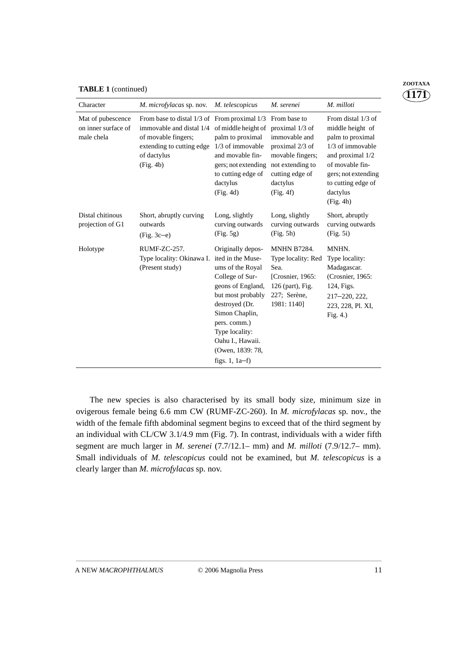|  | <b>TABLE 1</b> (continued) |
|--|----------------------------|
|--|----------------------------|

| Character                                              | M. microfylacas sp. nov.                                                                                                                                                         | M. telescopicus                                                                                                                                                                                                                                          | M. serenei                                                                                                                                              | M. milloti                                                                                                                                                                                    |
|--------------------------------------------------------|----------------------------------------------------------------------------------------------------------------------------------------------------------------------------------|----------------------------------------------------------------------------------------------------------------------------------------------------------------------------------------------------------------------------------------------------------|---------------------------------------------------------------------------------------------------------------------------------------------------------|-----------------------------------------------------------------------------------------------------------------------------------------------------------------------------------------------|
| Mat of pubescence<br>on inner surface of<br>male chela | From base to distal $1/3$ of From proximal $1/3$<br>immovable and distal 1/4 of middle height of<br>of movable fingers;<br>extending to cutting edge<br>of dactylus<br>(Fig. 4b) | palm to proximal<br>1/3 of immovable<br>and movable fin-<br>gers; not extending<br>to cutting edge of<br>dactylus<br>(Fig. 4d)                                                                                                                           | From base to<br>proximal 1/3 of<br>immovable and<br>proximal 2/3 of<br>movable fingers;<br>not extending to<br>cutting edge of<br>dactylus<br>(Fig. 4f) | From distal 1/3 of<br>middle height of<br>palm to proximal<br>$1/3$ of immovable<br>and proximal 1/2<br>of movable fin-<br>gers; not extending<br>to cutting edge of<br>dactylus<br>(Fig. 4h) |
| Distal chitinous<br>projection of G1                   | Short, abruptly curving<br>outwards<br>$(Fig. 3c-e)$                                                                                                                             | Long, slightly<br>curving outwards<br>(Fig. 5g)                                                                                                                                                                                                          | Long, slightly<br>curving outwards<br>(Fig. 5h)                                                                                                         | Short, abruptly<br>curving outwards<br>(Fig. 5i)                                                                                                                                              |
| Holotype                                               | RUMF-ZC-257.<br>Type locality: Okinawa I.<br>(Present study)                                                                                                                     | Originally depos-<br>ited in the Muse-<br>ums of the Royal<br>College of Sur-<br>geons of England,<br>but most probably<br>destroyed (Dr.<br>Simon Chaplin,<br>pers. comm.)<br>Type locality:<br>Oahu I., Hawaii.<br>(Owen, 1839: 78,<br>figs. $1, 1a-f$ | <b>MNHN B7284.</b><br>Type locality: Red<br>Sea.<br>[Crosnier, 1965:<br>126 (part), Fig.<br>227; Serène,<br>1981: 1140]                                 | MNHN.<br>Type locality:<br>Madagascar.<br>(Crosnier, 1965:<br>124, Figs.<br>217-220, 222,<br>223, 228, Pl. XI,<br>Fig. $4.$ )                                                                 |

The new species is also characterised by its small body size, minimum size in ovigerous female being 6.6 mm CW (RUMF-ZC-260). In *M. microfylacas* sp. nov., the width of the female fifth abdominal segment begins to exceed that of the third segment by an individual with CL/CW 3.1/4.9 mm (Fig. 7). In contrast, individuals with a wider fifth segment are much larger in *M. serenei* (7.7/12.1– mm) and *M. milloti* (7.9/12.7– mm). Small individuals of *M. telescopicus* could not be examined, but *M. telescopicus* is a clearly larger than *M. microfylacas* sp. nov.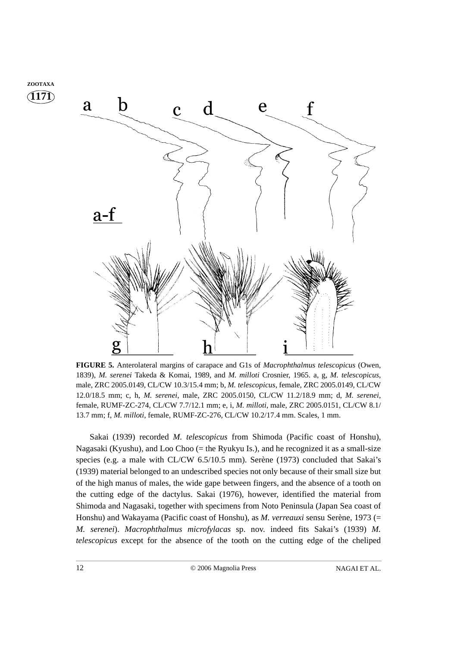

**FIGURE 5.** Anterolateral margins of carapace and G1s of *Macrophthalmus telescopicus* (Owen, 1839), *M. serenei* Takeda & Komai, 1989, and *M. milloti* Crosnier, 1965. a, g, *M. telescopicus*, male, ZRC 2005.0149, CL/CW 10.3/15.4 mm; b, *M. telescopicus*, female, ZRC 2005.0149, CL/CW 12.0/18.5 mm; c, h, *M. serenei*, male, ZRC 2005.0150, CL/CW 11.2/18.9 mm; d, *M. serenei*, female, RUMF-ZC-274, CL/CW 7.7/12.1 mm; e, i, *M. milloti*, male, ZRC 2005.0151, CL/CW 8.1/ 13.7 mm; f, *M. milloti*, female, RUMF-ZC-276, CL/CW 10.2/17.4 mm. Scales, 1 mm.

Sakai (1939) recorded *M. telescopicus* from Shimoda (Pacific coast of Honshu), Nagasaki (Kyushu), and Loo Choo (= the Ryukyu Is.), and he recognized it as a small-size species (e.g. a male with CL/CW 6.5/10.5 mm). Serène (1973) concluded that Sakai's (1939) material belonged to an undescribed species not only because of their small size but of the high manus of males, the wide gape between fingers, and the absence of a tooth on the cutting edge of the dactylus. Sakai (1976), however, identified the material from Shimoda and Nagasaki, together with specimens from Noto Peninsula (Japan Sea coast of Honshu) and Wakayama (Pacific coast of Honshu), as *M. verreauxi* sensu Serène, 1973 (= *M. serenei*). *Macrophthalmus microfylacas* sp. nov. indeed fits Sakai's (1939) *M. telescopicus* except for the absence of the tooth on the cutting edge of the cheliped

**1171 ZOOTAXA**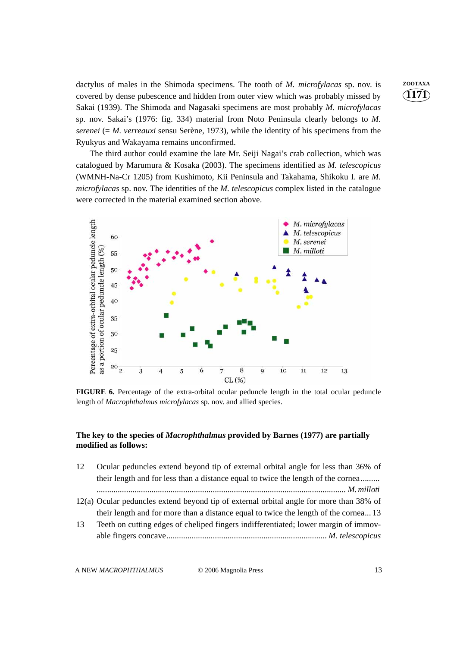dactylus of males in the Shimoda specimens. The tooth of *M. microfylacas* sp. nov. is **ZOOTAXA** covered by dense pubescence and hidden from outer view which was probably missed by Sakai (1939). The Shimoda and Nagasaki specimens are most probably *M. microfylacas* sp. nov. Sakai's (1976: fig. 334) material from Noto Peninsula clearly belongs to *M. serenei* (= *M. verreauxi* sensu Serène, 1973), while the identity of his specimens from the Ryukyus and Wakayama remains unconfirmed.

The third author could examine the late Mr. Seiji Nagai's crab collection, which was catalogued by Marumura & Kosaka (2003). The specimens identified as *M. telescopicus* (WMNH-Na-Cr 1205) from Kushimoto, Kii Peninsula and Takahama, Shikoku I. are *M. microfylacas* sp. nov. The identities of the *M. telescopicus* complex listed in the catalogue were corrected in the material examined section above.



**FIGURE 6.** Percentage of the extra-orbital ocular peduncle length in the total ocular peduncle length of *Macrophthalmus microfylacas* sp. nov. and allied species.

#### **The key to the species of** *Macrophthalmus* **provided by Barnes (1977) are partially modified as follows:**

- 12 Ocular peduncles extend beyond tip of external orbital angle for less than 36% of their length and for less than a distance equal to twice the length of the cornea......... *...................................................................................................................... M. milloti*
- 12(a) Ocular peduncles extend beyond tip of external orbital angle for more than 38% of their length and for more than a distance equal to twice the length of the cornea... 13
- 13 Teeth on cutting edges of cheliped fingers indifferentiated; lower margin of immovable fingers concave*............................................................................ M. telescopicus*

A NEW *MACROPHTHALMUS* © 2006 Magnolia Press 13

**1171**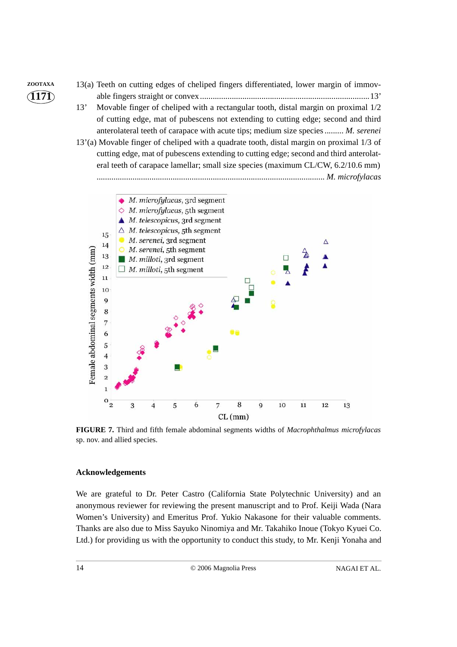

*............................................................................................................ M. microfylacas*



**FIGURE 7.** Third and fifth female abdominal segments widths of *Macrophthalmus microfylacas* sp. nov. and allied species.

#### **Acknowledgements**

We are grateful to Dr. Peter Castro (California State Polytechnic University) and an anonymous reviewer for reviewing the present manuscript and to Prof. Keiji Wada (Nara Women's University) and Emeritus Prof. Yukio Nakasone for their valuable comments. Thanks are also due to Miss Sayuko Ninomiya and Mr. Takahiko Inoue (Tokyo Kyuei Co. Ltd.) for providing us with the opportunity to conduct this study, to Mr. Kenji Yonaha and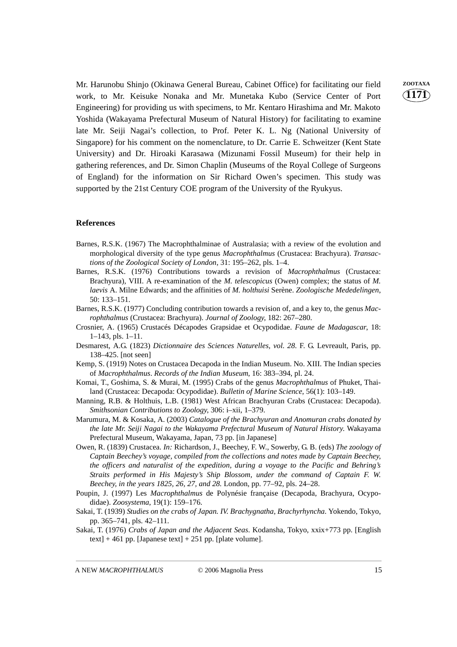Mr. Harunobu Shinjo (Okinawa General Bureau, Cabinet Office) for facilitating our field **ZOOTAXA** work, to Mr. Keisuke Nonaka and Mr. Munetaka Kubo (Service Center of Port Engineering) for providing us with specimens, to Mr. Kentaro Hirashima and Mr. Makoto Yoshida (Wakayama Prefectural Museum of Natural History) for facilitating to examine late Mr. Seiji Nagai's collection, to Prof. Peter K. L. Ng (National University of Singapore) for his comment on the nomenclature, to Dr. Carrie E. Schweitzer (Kent State University) and Dr. Hiroaki Karasawa (Mizunami Fossil Museum) for their help in gathering references, and Dr. Simon Chaplin (Museums of the Royal College of Surgeons of England) for the information on Sir Richard Owen's specimen. This study was supported by the 21st Century COE program of the University of the Ryukyus.

#### **References**

- Barnes, R.S.K. (1967) The Macrophthalminae of Australasia; with a review of the evolution and morphological diversity of the type genus *Macrophthalmus* (Crustacea: Brachyura). *Transactions of the Zoological Society of London*, 31: 195–262, pls. 1–4.
- Barnes, R.S.K. (1976) Contributions towards a revision of *Macrophthalmus* (Crustacea: Brachyura), VIII. A re-examination of the *M. telescopicus* (Owen) complex; the status of *M. laevis* A. Milne Edwards; and the affinities of *M. holthuisi* Serène. *Zoologische Mededelingen*, 50: 133–151.
- Barnes, R.S.K. (1977) Concluding contribution towards a revision of, and a key to, the genus *Macrophthalmus* (Crustacea: Brachyura). *Journal of Zoology*, 182: 267–280.
- Crosnier, A. (1965) Crustacés Décapodes Grapsidae et Ocypodidae. *Faune de Madagascar*, 18: 1–143, pls. 1–11.
- Desmarest, A.G. (1823) *Dictionnaire des Sciences Naturelles, vol. 28*. F. G. Levreault, Paris, pp. 138–425. [not seen]
- Kemp, S. (1919) Notes on Crustacea Decapoda in the Indian Museum. No. XIII. The Indian species of *Macrophthalmus*. *Records of the Indian Museum*, 16: 383–394, pl. 24.
- Komai, T., Goshima, S. & Murai, M. (1995) Crabs of the genus *Macrophthalmus* of Phuket, Thailand (Crustacea: Decapoda: Ocypodidae). *Bulletin of Marine Science*, 56(1): 103–149.
- Manning, R.B. & Holthuis, L.B. (1981) West African Brachyuran Crabs (Crustacea: Decapoda). *Smithsonian Contributions to Zoology*, 306: i–xii, 1–379.
- Marumura, M. & Kosaka, A. (2003) *Catalogue of the Brachyuran and Anomuran crabs donated by the late Mr. Seiji Nagai to the Wakayama Prefectural Museum of Natural History*. Wakayama Prefectural Museum, Wakayama, Japan, 73 pp. [in Japanese]
- Owen, R. (1839) Crustacea*. In:* Richardson, J., Beechey, F. W., Sowerby, G. B. (eds) *The zoology of Captain Beechey's voyage, compiled from the collections and notes made by Captain Beechey, the officers and naturalist of the expedition, during a voyage to the Pacific and Behring's Straits performed in His Majesty's Ship Blossom, under the command of Captain F. W. Beechey, in the years 1825, 26, 27, and 28.* London, pp. 77–92, pls. 24–28.
- Poupin, J. (1997) Les *Macrophthalmus* de Polynésie française (Decapoda, Brachyura, Ocypodidae). *Zoosystema*, 19(1): 159–176.
- Sakai, T. (1939) *Studies on the crabs of Japan. IV. Brachygnatha, Brachyrhyncha*. Yokendo, Tokyo, pp. 365–741, pls. 42–111.
- Sakai, T. (1976) *Crabs of Japan and the Adjacent Seas*. Kodansha, Tokyo, xxix+773 pp. [English text] + 461 pp. [Japanese text] + 251 pp. [plate volume].

A NEW *MACROPHTHALMUS* © 2006 Magnolia Press 15

**1171**